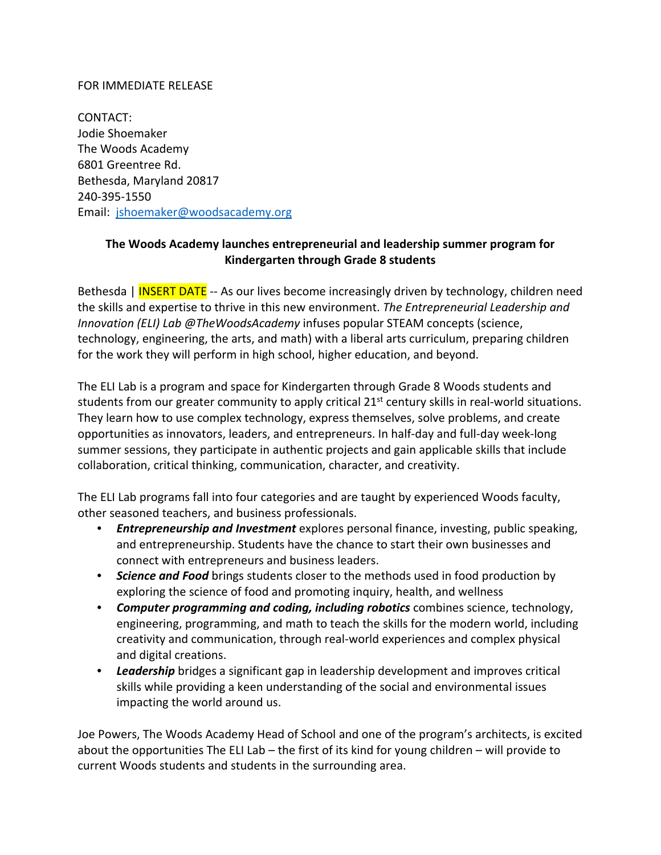## FOR IMMEDIATE RELEASE

CONTACT: Jodie Shoemaker The Woods Academy 6801 Greentree Rd. Bethesda, Maryland 20817 240‐395‐1550 Email: jshoemaker@woodsacademy.org

# **The Woods Academy launches entrepreneurial and leadership summer program for Kindergarten through Grade 8 students**

Bethesda | INSERT DATE -- As our lives become increasingly driven by technology, children need the skills and expertise to thrive in this new environment. *The Entrepreneurial Leadership and Innovation (ELI) Lab @TheWoodsAcademy* infuses popular STEAM concepts (science, technology, engineering, the arts, and math) with a liberal arts curriculum, preparing children for the work they will perform in high school, higher education, and beyond.

The ELI Lab is a program and space for Kindergarten through Grade 8 Woods students and students from our greater community to apply critical  $21<sup>st</sup>$  century skills in real-world situations. They learn how to use complex technology, express themselves, solve problems, and create opportunities as innovators, leaders, and entrepreneurs. In half‐day and full‐day week‐long summer sessions, they participate in authentic projects and gain applicable skills that include collaboration, critical thinking, communication, character, and creativity.

The ELI Lab programs fall into four categories and are taught by experienced Woods faculty, other seasoned teachers, and business professionals.

- *Entrepreneurship and Investment* explores personal finance, investing, public speaking, and entrepreneurship. Students have the chance to start their own businesses and connect with entrepreneurs and business leaders.
- *Science and Food* brings students closer to the methods used in food production by exploring the science of food and promoting inquiry, health, and wellness
- *Computer programming and coding, including robotics* combines science, technology, engineering, programming, and math to teach the skills for the modern world, including creativity and communication, through real‐world experiences and complex physical and digital creations.
- *Leadership* bridges a significant gap in leadership development and improves critical skills while providing a keen understanding of the social and environmental issues impacting the world around us.

Joe Powers, The Woods Academy Head of School and one of the program's architects, is excited about the opportunities The ELI Lab – the first of its kind for young children – will provide to current Woods students and students in the surrounding area.